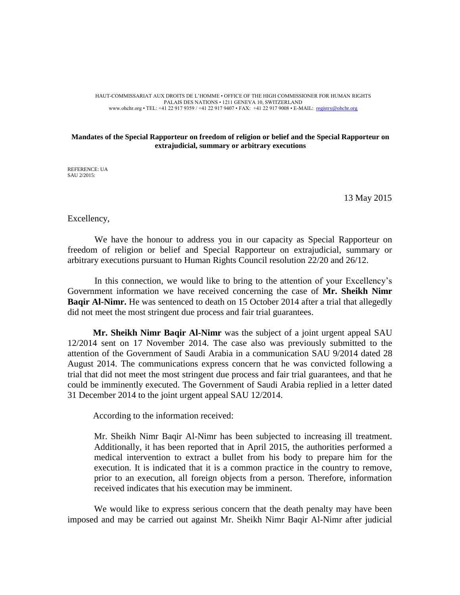HAUT-COMMISSARIAT AUX DROITS DE L'HOMME • OFFICE OF THE HIGH COMMISSIONER FOR HUMAN RIGHTS PALAIS DES NATIONS • 1211 GENEVA 10, SWITZERLAND www.ohchr.org • TEL: +41 22 917 9359 / +41 22 917 9407 • FAX: +41 22 917 9008 • E-MAIL: <u>registry@ohchr.org</u>

## **Mandates of the Special Rapporteur on freedom of religion or belief and the Special Rapporteur on extrajudicial, summary or arbitrary executions**

REFERENCE: UA SAU 2/2015:

13 May 2015

Excellency,

We have the honour to address you in our capacity as Special Rapporteur on freedom of religion or belief and Special Rapporteur on extrajudicial, summary or arbitrary executions pursuant to Human Rights Council resolution 22/20 and 26/12.

In this connection, we would like to bring to the attention of your Excellency's Government information we have received concerning the case of **Mr. Sheikh Nimr Baqir Al-Nimr.** He was sentenced to death on 15 October 2014 after a trial that allegedly did not meet the most stringent due process and fair trial guarantees.

**Mr. Sheikh Nimr Baqir Al-Nimr** was the subject of a joint urgent appeal SAU 12/2014 sent on 17 November 2014. The case also was previously submitted to the attention of the Government of Saudi Arabia in a communication SAU 9/2014 dated 28 August 2014. The communications express concern that he was convicted following a trial that did not meet the most stringent due process and fair trial guarantees, and that he could be imminently executed. The Government of Saudi Arabia replied in a letter dated 31 December 2014 to the joint urgent appeal SAU 12/2014.

According to the information received:

Mr. Sheikh Nimr Baqir Al-Nimr has been subjected to increasing ill treatment. Additionally, it has been reported that in April 2015, the authorities performed a medical intervention to extract a bullet from his body to prepare him for the execution. It is indicated that it is a common practice in the country to remove, prior to an execution, all foreign objects from a person. Therefore, information received indicates that his execution may be imminent.

We would like to express serious concern that the death penalty may have been imposed and may be carried out against Mr. Sheikh Nimr Baqir Al-Nimr after judicial